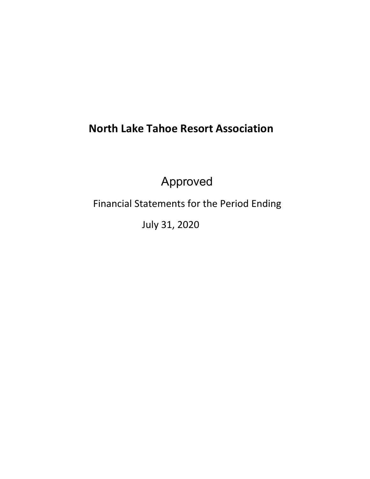# **North Lake Tahoe Resort Association**

Approved

Financial Statements for the Period Ending

July 31, 2020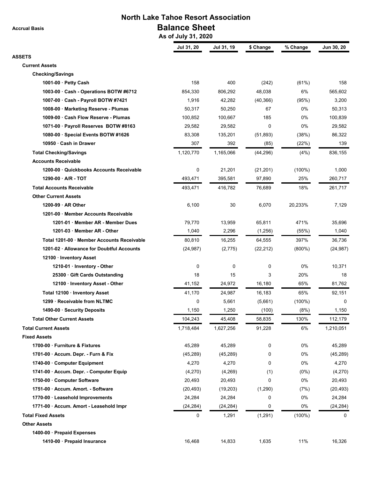**North Lake Tahoe Resort Association Balance Sheet**

 **As of July 31, 2020**

|                                           | Jul 31, 20 | Jul 31, 19 | \$ Change | % Change  | Jun 30, 20 |
|-------------------------------------------|------------|------------|-----------|-----------|------------|
| <b>ASSETS</b>                             |            |            |           |           |            |
| <b>Current Assets</b>                     |            |            |           |           |            |
| <b>Checking/Savings</b>                   |            |            |           |           |            |
| 1001-00 Petty Cash                        | 158        | 400        | (242)     | (61%)     | 158        |
| 1003-00 Cash - Operations BOTW #6712      | 854,330    | 806,292    | 48,038    | 6%        | 565,602    |
| 1007-00 Cash - Payroll BOTW #7421         | 1,916      | 42,282     | (40, 366) | (95%)     | 3,200      |
| 1008-00 · Marketing Reserve - Plumas      | 50,317     | 50,250     | 67        | 0%        | 50,313     |
| 1009-00 Cash Flow Reserve - Plumas        | 100,852    | 100,667    | 185       | 0%        | 100,839    |
| 1071-00 · Payroll Reserves BOTW #8163     | 29,582     | 29,582     | 0         | 0%        | 29,582     |
| 1080-00 · Special Events BOTW #1626       | 83,308     | 135,201    | (51, 893) | (38%)     | 86,322     |
| 10950 Cash in Drawer                      | 307        | 392        | (85)      | (22%)     | 139        |
| <b>Total Checking/Savings</b>             | 1,120,770  | 1,165,066  | (44, 296) | (4% )     | 836,155    |
| <b>Accounts Receivable</b>                |            |            |           |           |            |
| 1200-00 Quickbooks Accounts Receivable    | 0          | 21,201     | (21, 201) | $(100\%)$ | 1,000      |
| $1290-00$ $\cdot$ A/R - TOT               | 493,471    | 395,581    | 97,890    | 25%       | 260,717    |
| <b>Total Accounts Receivable</b>          | 493,471    | 416,782    | 76,689    | 18%       | 261,717    |
| <b>Other Current Assets</b>               |            |            |           |           |            |
| 1200-99 AR Other                          | 6,100      | 30         | 6,070     | 20,233%   | 7,129      |
| 1201-00 Member Accounts Receivable        |            |            |           |           |            |
| 1201-01 Member AR - Member Dues           | 79,770     | 13,959     | 65,811    | 471%      | 35,696     |
| 1201-03 Member AR - Other                 | 1,040      | 2,296      | (1,256)   | (55%)     | 1,040      |
| Total 1201-00 Member Accounts Receivable  | 80,810     | 16,255     | 64,555    | 397%      | 36,736     |
| 1201-02 · Allowance for Doubtful Accounts | (24, 987)  | (2,775)    | (22, 212) | $(800\%)$ | (24, 987)  |
| 12100 · Inventory Asset                   |            |            |           |           |            |
| 1210-01 Inventory - Other                 | 0          | 0          | 0         | 0%        | 10,371     |
| 25300 Gift Cards Outstanding              | 18         | 15         | 3         | 20%       | 18         |
| 12100 · Inventory Asset - Other           | 41,152     | 24,972     | 16,180    | 65%       | 81,762     |
| Total 12100 · Inventory Asset             | 41,170     | 24,987     | 16,183    | 65%       | 92,151     |
| 1299 · Receivable from NLTMC              | 0          | 5,661      | (5,661)   | $(100\%)$ | 0          |
| 1490-00 · Security Deposits               | 1,150      | 1,250      | (100)     | (8%)      | 1,150      |
| <b>Total Other Current Assets</b>         | 104,243    | 45,408     | 58,835    | 130%      | 112,179    |
| <b>Total Current Assets</b>               | 1,718,484  | 1,627,256  | 91,228    | 6%        | 1,210,051  |
| <b>Fixed Assets</b>                       |            |            |           |           |            |
| 1700-00 Furniture & Fixtures              | 45,289     | 45,289     | 0         | 0%        | 45,289     |
| 1701-00 Accum. Depr. - Furn & Fix         | (45, 289)  | (45, 289)  | 0         | 0%        | (45, 289)  |
| 1740-00 Computer Equipment                | 4,270      | 4,270      | 0         | 0%        | 4,270      |
| 1741-00 · Accum. Depr. - Computer Equip   | (4,270)    | (4,269)    | (1)       | (0%)      | (4,270)    |
| 1750-00 · Computer Software               | 20,493     | 20,493     | 0         | 0%        | 20,493     |
| 1751-00 Accum. Amort. - Software          | (20, 493)  | (19,203)   | (1,290)   | (7%)      | (20, 493)  |
| 1770-00 · Leasehold Improvements          | 24,284     | 24,284     | 0         | 0%        | 24,284     |
| 1771-00 · Accum. Amort - Leasehold Impr   | (24, 284)  | (24, 284)  | 0         | 0%        | (24, 284)  |
| <b>Total Fixed Assets</b>                 | 0          | 1,291      | (1, 291)  | $(100\%)$ | 0          |
| <b>Other Assets</b>                       |            |            |           |           |            |
| 1400-00 Prepaid Expenses                  |            |            |           |           |            |
| 1410-00 · Prepaid Insurance               | 16,468     | 14,833     | 1,635     | 11%       | 16,326     |
|                                           |            |            |           |           |            |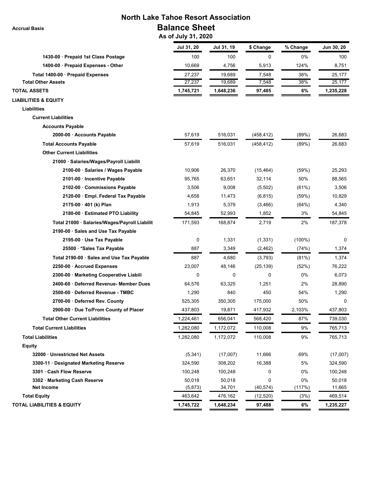# **North Lake Tahoe Resort Association Balance Sheet**

 **As of July 31, 2020**

|                                               | Jul 31, 20 | Jul 31, 19 | \$ Change  | % Change  | Jun 30, 20 |
|-----------------------------------------------|------------|------------|------------|-----------|------------|
| 1430-00 · Prepaid 1st Class Postage           | 100        | 100        | 0          | 0%        | 100        |
| 1400-00 · Prepaid Expenses - Other            | 10,669     | 4,756      | 5,913      | 124%      | 8,751      |
| Total 1400-00 · Prepaid Expenses              | 27,237     | 19,689     | 7,548      | 38%       | 25,177     |
| <b>Total Other Assets</b>                     | 27,237     | 19,689     | 7,548      | 38%       | 25,177     |
| <b>TOTAL ASSETS</b>                           | 1,745,721  | 1,648,236  | 97,485     | 6%        | 1,235,228  |
| <b>LIABILITIES &amp; EQUITY</b>               |            |            |            |           |            |
| <b>Liabilities</b>                            |            |            |            |           |            |
| <b>Current Liabilities</b>                    |            |            |            |           |            |
| <b>Accounts Payable</b>                       |            |            |            |           |            |
| 2000-00 · Accounts Payable                    | 57,619     | 516,031    | (458, 412) | (89%)     | 26,683     |
| <b>Total Accounts Payable</b>                 | 57,619     | 516,031    | (458, 412) | (89%)     | 26,683     |
| <b>Other Current Liabilities</b>              |            |            |            |           |            |
| 21000 · Salaries/Wages/Payroll Liabilit       |            |            |            |           |            |
| 2100-00 · Salaries / Wages Payable            | 10,906     | 26,370     | (15, 464)  | (59%)     | 25,293     |
| 2101-00 · Incentive Payable                   | 95,765     | 63,651     | 32,114     | 50%       | 88,565     |
| 2102-00 Commissions Payable                   | 3,506      | 9,008      | (5,502)    | (61%)     | 3,506      |
| 2120-00 · Empl. Federal Tax Payable           | 4,658      | 11,473     | (6, 815)   | (59%)     | 10,829     |
| 2175-00 · 401 (k) Plan                        | 1,913      | 5,379      | (3, 466)   | (64%)     | 4,340      |
| 2180-00 Estimated PTO Liability               | 54,845     | 52,993     | 1,852      | 3%        | 54,845     |
| Total 21000 · Salaries/Wages/Payroll Liabilit | 171,593    | 168,874    | 2,719      | 2%        | 187,378    |
| 2190-00 Sales and Use Tax Payable             |            |            |            |           |            |
| 2195-00 · Use Tax Payable                     | 0          | 1,331      | (1, 331)   | $(100\%)$ | 0          |
| 25500 · *Sales Tax Payable                    | 887        | 3,349      | (2, 462)   | (74%)     | 1,374      |
| Total 2190-00 · Sales and Use Tax Payable     | 887        | 4,680      | (3,793)    | (81%)     | 1,374      |
| 2250-00 · Accrued Expenses                    | 23,007     | 48,146     | (25, 139)  | (52%)     | 76,222     |
| 2300-00 · Marketing Cooperative Liabili       | 0          | 0          | 0          | 0%        | 6,073      |
| 2400-60 Deferred Revenue- Member Dues         | 64,576     | 63,325     | 1,251      | 2%        | 28,890     |
| 2500-00 Deferred Revenue - TMBC               | 1,290      | 840        | 450        | 54%       | 1,290      |
| 2700-00 · Deferred Rev. County                | 525,305    | 350,305    | 175,000    | 50%       | 0          |
| 2900-00 · Due To/From County of Placer        | 437,803    | 19,871     | 417,932    | 2,103%    | 437,803    |
| <b>Total Other Current Liabilities</b>        | 1,224,461  | 656,041    | 568,420    | 87%       | 739,030    |
| <b>Total Current Liabilities</b>              | 1,282,080  | 1,172,072  | 110,008    | 9%        | 765,713    |
| <b>Total Liabilities</b>                      | 1,282,080  | 1,172,072  | 110,008    | 9%        | 765,713    |
| <b>Equity</b>                                 |            |            |            |           |            |
| 32000 Unrestricted Net Assets                 | (5, 341)   | (17,007)   | 11,666     | 69%       | (17,007)   |
| 3300-11 Designated Marketing Reserve          | 324,590    | 308,202    | 16,388     | 5%        | 324,590    |
| 3301 Cash Flow Reserve                        | 100,248    | 100,248    | 0          | 0%        | 100,248    |
| 3302 · Marketing Cash Reserve                 | 50,018     | 50,018     | 0          | 0%        | 50,018     |
| <b>Net Income</b>                             | (5, 873)   | 34,701     | (40, 574)  | (117%)    | 11,665     |
| <b>Total Equity</b>                           | 463,642    | 476,162    | (12, 520)  | (3%)      | 469,514    |
| <b>TOTAL LIABILITIES &amp; EQUITY</b>         | 1,745,722  | 1,648,234  | 97,488     | 6%        | 1,235,227  |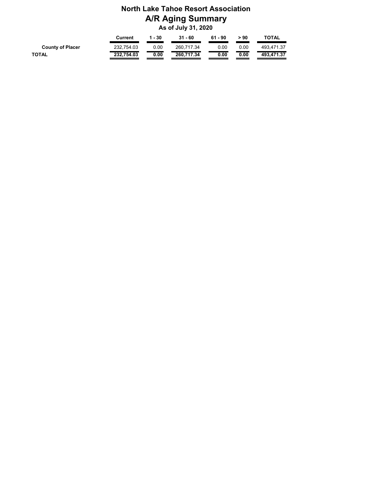# **North Lake Tahoe Resort Association A/R Aging Summary As of July 31, 2020**

|                         | Current    | 1 - 30 | $31 - 60$  | $61 - 90$ | > 90 | <b>TOTAL</b> |
|-------------------------|------------|--------|------------|-----------|------|--------------|
| <b>County of Placer</b> | 232.754.03 | 0.00   | 260.717.34 | 0.00      | 0.00 | 493.471.37   |
| TOTAL                   | 232.754.03 | 0.00   | 260.717.34 | 0.00      | 0.00 | 493.471.37   |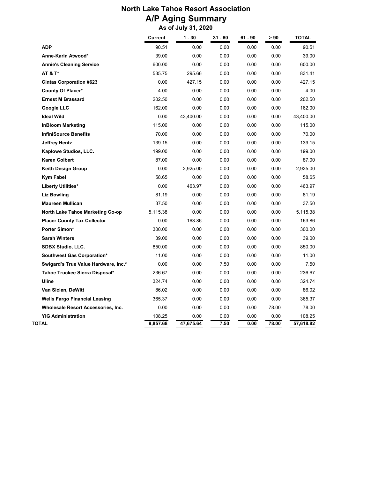# **North Lake Tahoe Resort Association A/P Aging Summary As of July 31, 2020**

|                                         | <b>Current</b> | $1 - 30$  | $31 - 60$ | $61 - 90$ | > 90  | <b>TOTAL</b> |
|-----------------------------------------|----------------|-----------|-----------|-----------|-------|--------------|
| <b>ADP</b>                              | 90.51          | 0.00      | 0.00      | 0.00      | 0.00  | 90.51        |
| Anne-Karin Atwood*                      | 39.00          | 0.00      | 0.00      | 0.00      | 0.00  | 39.00        |
| <b>Annie's Cleaning Service</b>         | 600.00         | 0.00      | 0.00      | 0.00      | 0.00  | 600.00       |
| <b>AT &amp; T*</b>                      | 535.75         | 295.66    | 0.00      | 0.00      | 0.00  | 831.41       |
| <b>Cintas Corporation #623</b>          | 0.00           | 427.15    | 0.00      | 0.00      | 0.00  | 427.15       |
| County Of Placer*                       | 4.00           | 0.00      | 0.00      | 0.00      | 0.00  | 4.00         |
| <b>Ernest M Brassard</b>                | 202.50         | 0.00      | 0.00      | 0.00      | 0.00  | 202.50       |
| <b>Google LLC</b>                       | 162.00         | 0.00      | 0.00      | 0.00      | 0.00  | 162.00       |
| <b>Ideal Wild</b>                       | 0.00           | 43,400.00 | 0.00      | 0.00      | 0.00  | 43,400.00    |
| <b>InBloom Marketing</b>                | 115.00         | 0.00      | 0.00      | 0.00      | 0.00  | 115.00       |
| <b>InfiniSource Benefits</b>            | 70.00          | 0.00      | 0.00      | 0.00      | 0.00  | 70.00        |
| <b>Jeffrey Hentz</b>                    | 139.15         | 0.00      | 0.00      | 0.00      | 0.00  | 139.15       |
| Kaplowe Studios, LLC.                   | 199.00         | 0.00      | 0.00      | 0.00      | 0.00  | 199.00       |
| <b>Karen Colbert</b>                    | 87.00          | 0.00      | 0.00      | 0.00      | 0.00  | 87.00        |
| <b>Keith Design Group</b>               | 0.00           | 2,925.00  | 0.00      | 0.00      | 0.00  | 2,925.00     |
| <b>Kym Fabel</b>                        | 58.65          | 0.00      | 0.00      | 0.00      | 0.00  | 58.65        |
| <b>Liberty Utilities*</b>               | 0.00           | 463.97    | 0.00      | 0.00      | 0.00  | 463.97       |
| <b>Liz Bowling</b>                      | 81.19          | 0.00      | 0.00      | 0.00      | 0.00  | 81.19        |
| <b>Maureen Mullican</b>                 | 37.50          | 0.00      | 0.00      | 0.00      | 0.00  | 37.50        |
| <b>North Lake Tahoe Marketing Co-op</b> | 5.115.38       | 0.00      | 0.00      | 0.00      | 0.00  | 5.115.38     |
| <b>Placer County Tax Collector</b>      | 0.00           | 163.86    | 0.00      | 0.00      | 0.00  | 163.86       |
| <b>Porter Simon*</b>                    | 300.00         | 0.00      | 0.00      | 0.00      | 0.00  | 300.00       |
| <b>Sarah Winters</b>                    | 39.00          | 0.00      | 0.00      | 0.00      | 0.00  | 39.00        |
| <b>SDBX Studio, LLC.</b>                | 850.00         | 0.00      | 0.00      | 0.00      | 0.00  | 850.00       |
| Southwest Gas Corporation*              | 11.00          | 0.00      | 0.00      | 0.00      | 0.00  | 11.00        |
| Swigard's True Value Hardware, Inc.*    | 0.00           | 0.00      | 7.50      | 0.00      | 0.00  | 7.50         |
| Tahoe Truckee Sierra Disposal*          | 236.67         | 0.00      | 0.00      | 0.00      | 0.00  | 236.67       |
| Uline                                   | 324.74         | 0.00      | 0.00      | 0.00      | 0.00  | 324.74       |
| Van Siclen, DeWitt                      | 86.02          | 0.00      | 0.00      | 0.00      | 0.00  | 86.02        |
| <b>Wells Fargo Financial Leasing</b>    | 365.37         | 0.00      | 0.00      | 0.00      | 0.00  | 365.37       |
| Wholesale Resort Accessories, Inc.      | 0.00           | 0.00      | 0.00      | 0.00      | 78.00 | 78.00        |
| <b>YIG Administration</b>               | 108.25         | 0.00      | 0.00      | 0.00      | 0.00  | 108.25       |
| TOTAL                                   | 9,857.68       | 47,675.64 | 7.50      | 0.00      | 78.00 | 57,618.82    |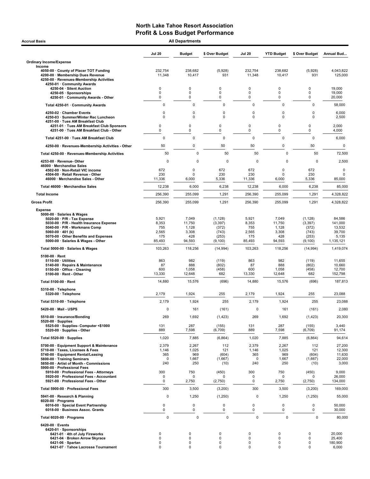| <b>Accrual Basis</b>                                                                                                                                                                                                                                                    |                                                 | <b>All Departments</b>                             |                                                             |                                                 |                                                    |                                                             |                                                             |
|-------------------------------------------------------------------------------------------------------------------------------------------------------------------------------------------------------------------------------------------------------------------------|-------------------------------------------------|----------------------------------------------------|-------------------------------------------------------------|-------------------------------------------------|----------------------------------------------------|-------------------------------------------------------------|-------------------------------------------------------------|
|                                                                                                                                                                                                                                                                         | <b>Jul 20</b>                                   | <b>Budget</b>                                      | \$ Over Budget                                              | <b>Jul 20</b>                                   | <b>YTD Budget</b>                                  | \$ Over Budget                                              | Annual Bud                                                  |
| <b>Ordinary Income/Expense</b>                                                                                                                                                                                                                                          |                                                 |                                                    |                                                             |                                                 |                                                    |                                                             |                                                             |
| Income<br>4050-00 County of Placer TOT Funding<br>4200-00 · Membership Dues Revenue<br>4250-00 · Revenues-Membership Activities<br>4250-01 · Community Awards                                                                                                           | 232,754<br>11,348                               | 238,682<br>10,417                                  | (5,928)<br>931                                              | 232,754<br>11,348                               | 238,682<br>10,417                                  | (5,928)<br>931                                              | 4,043,822<br>125,000                                        |
| 4250-04 · Silent Auction<br>4250-05 · Sponsorships<br>4250-01 · Community Awards - Other                                                                                                                                                                                | 0<br>0<br>0                                     | 0<br>0<br>0                                        | $\mathbf 0$<br>$\mathbf 0$<br>$\mathbf 0$                   | $\Omega$<br>0<br>0                              | 0<br>$\mathbf 0$<br>$\mathbf 0$                    | 0<br>0<br>0                                                 | 19,000<br>19,000<br>20,000                                  |
| Total 4250-01 · Community Awards                                                                                                                                                                                                                                        | $\mathbf 0$                                     | $\mathbf 0$                                        | 0                                                           | $\mathbf 0$                                     | $\mathbf 0$                                        | 0                                                           | 58,000                                                      |
| 4250-02 · Chamber Events<br>4250-03 · Summer/Winter Rec Luncheon<br>4251-00 · Tues AM Breakfast Club                                                                                                                                                                    | $\mathbf 0$<br>0                                | $\mathbf 0$<br>$\mathbf 0$                         | 0<br>$\mathbf 0$                                            | 0<br>0                                          | $\mathsf 0$<br>$\mathbf 0$                         | $\mathbf 0$<br>0                                            | 6,000<br>2,500                                              |
| 4251-01 · Tues AM Breakfast Club Sponsors<br>4251-00 · Tues AM Breakfast Club - Other                                                                                                                                                                                   | 0<br>0                                          | 0<br>0                                             | 0<br>$\mathbf 0$                                            | 0<br>0                                          | 0<br>$\pmb{0}$                                     | 0<br>0                                                      | 2,000<br>4,000                                              |
| Total 4251-00 · Tues AM Breakfast Club                                                                                                                                                                                                                                  | 0                                               | $\mathbf 0$                                        | 0                                                           | 0                                               | 0                                                  | 0                                                           | 6,000                                                       |
| 4250-00 · Revenues-Membership Activities - Other                                                                                                                                                                                                                        | 50                                              | $\mathbf 0$                                        | 50                                                          | 50                                              | 0                                                  | 50                                                          | 0                                                           |
| Total 4250-00 · Revenues-Membership Activities                                                                                                                                                                                                                          | 50                                              | 0                                                  | 50                                                          | 50                                              | $\mathbf 0$                                        | 50                                                          | 72,500                                                      |
| 4253-00 · Revenue- Other<br>46000 · Merchandise Sales<br>4502-00 · Non-Retail VIC income                                                                                                                                                                                | 0<br>672                                        | 0<br>0                                             | 0<br>672                                                    | $\Omega$<br>672                                 | $\Omega$<br>$\mathbf 0$                            | $\mathbf 0$<br>672                                          | 2,500<br>0                                                  |
| 4504-00 · Retail Revenue - Other<br>46000 · Merchandise Sales - Other                                                                                                                                                                                                   | 230<br>11,336                                   | $\mathbf 0$<br>6,000                               | 230<br>5,336                                                | 230<br>11,336                                   | $\mathbf 0$<br>6,000                               | 230<br>5,336                                                | 0<br>85,000                                                 |
| Total 46000 · Merchandise Sales                                                                                                                                                                                                                                         | 12,238                                          | 6,000                                              | 6,238                                                       | 12,238                                          | 6,000                                              | 6,238                                                       | 85,000                                                      |
| <b>Total Income</b>                                                                                                                                                                                                                                                     | 256.390                                         | 255,099                                            | 1,291                                                       | 256.390                                         | 255,099                                            | 1,291                                                       | 4,328,822                                                   |
| <b>Gross Profit</b>                                                                                                                                                                                                                                                     | 256,390                                         | 255,099                                            | 1,291                                                       | 256,390                                         | 255,099                                            | 1,291                                                       | 4,328,822                                                   |
| <b>Expense</b><br>5000-00 · Salaries & Wages<br>5020-00 · P/R - Tax Expense<br>5030-00 · P/R - Health Insurance Expense<br>5040-00 · P/R - Workmans Comp<br>5060-00 $\cdot$ 401 (k)<br>5070-00 · Other Benefits and Expenses<br>5000-00 · Salaries & Wages - Other      | 5,921<br>8,353<br>755<br>2,565<br>175<br>85,493 | 7,049<br>11,750<br>1,128<br>3,308<br>428<br>94,593 | (1, 128)<br>(3, 397)<br>(372)<br>(743)<br>(253)<br>(9, 100) | 5,921<br>8,353<br>755<br>2,565<br>175<br>85,493 | 7,049<br>11,750<br>1,128<br>3,308<br>428<br>94,593 | (1, 128)<br>(3, 397)<br>(372)<br>(743)<br>(253)<br>(9, 100) | 84,586<br>141,000<br>13,532<br>39,700<br>5,135<br>1,135,121 |
|                                                                                                                                                                                                                                                                         | 103,263                                         | 118,256                                            | (14, 994)                                                   | 103,263                                         | 118,256                                            | (14, 994)                                                   | 1,419,074                                                   |
| Total 5000-00 · Salaries & Wages<br>$5100-00 \cdot$ Rent<br>$5110-00 \cdot$ Utilities<br>5140-00 · Repairs & Maintenance<br>5150-00 · Office - Cleaning<br>$5100-00 \cdot$ Rent - Other                                                                                 | 863<br>87<br>600<br>13,330                      | 982<br>888<br>1,058<br>12,648                      | (119)<br>(802)<br>(458)<br>682                              | 863<br>87<br>600<br>13,330                      | 982<br>888<br>1,058<br>12,648                      | (119)<br>(802)<br>(458)<br>682                              | 11,655<br>10,660<br>12,700<br>152,798                       |
| Total 5100-00 · Rent                                                                                                                                                                                                                                                    | 14,880                                          | 15,576                                             | (696)                                                       | 14,880                                          | 15,576                                             | (696)                                                       | 187,813                                                     |
| 5310-00 · Telephone                                                                                                                                                                                                                                                     |                                                 |                                                    |                                                             |                                                 |                                                    |                                                             |                                                             |
| 5320-00 · Telephone                                                                                                                                                                                                                                                     | 2,179                                           | 1,924                                              | 255                                                         | 2,179                                           | 1,924                                              | 255                                                         | 23,088                                                      |
| Total 5310-00 · Telephone                                                                                                                                                                                                                                               | 2,179                                           | 1,924                                              | 255                                                         | 2,179                                           | 1,924                                              | 255                                                         | 23,088                                                      |
| 5420-00 Mail - USPS                                                                                                                                                                                                                                                     | 0                                               | 161                                                | (161)                                                       | 0                                               | 161                                                | (161)                                                       | 2,080                                                       |
| 5510-00 · Insurance/Bonding<br>$5520-00 \cdot$ Supplies<br>5525-00 · Supplies- Computer <\$1000                                                                                                                                                                         | 269<br>131                                      | 1,692<br>287                                       | (1, 423)<br>(155)                                           | 269<br>131                                      | 1,692<br>287                                       | (1, 423)<br>(155)                                           | 20,300<br>3,440                                             |
| 5520-00 · Supplies - Other                                                                                                                                                                                                                                              | 889                                             | 7,598                                              | (6, 709)                                                    | 889                                             | 7,598                                              | (6,709)                                                     | 91,174                                                      |
| Total 5520-00 · Supplies                                                                                                                                                                                                                                                | 1,020                                           | 7,885                                              | (6, 864)                                                    | 1,020                                           | 7,885                                              | (6, 864)                                                    | 94,614                                                      |
| 5700-00 · Equipment Support & Maintenance<br>5710-00 · Taxes, Licenses & Fees<br>5740-00 · Equipment Rental/Leasing<br>5800-00 · Training Seminars<br>5850-00 · Artist of Month - Commissions<br>5900-00 · Professional Fees<br>5910-00 · Professional Fees - Attorneys | 2,379<br>1,146<br>365<br>0<br>240<br>300        | 2,267<br>1,025<br>969<br>1,667<br>250<br>750       | 112<br>121<br>(604)<br>(1,667)<br>(10)<br>(450)             | 2,379<br>1,146<br>365<br>0<br>240<br>300        | 2,267<br>1,025<br>969<br>1,667<br>250<br>750       | 112<br>121<br>(604)<br>(1,667)<br>(10)<br>(450)             | 27,200<br>12,300<br>11,630<br>22,000<br>3,000<br>9,000      |
| 5920-00 · Professional Fees - Accountant<br>5921-00 · Professional Fees - Other                                                                                                                                                                                         | 0<br>0                                          | 0<br>2,750                                         | 0<br>(2,750)                                                | 0<br>0                                          | 0<br>2,750                                         | 0<br>(2,750)                                                | 26,000<br>134,000                                           |
| Total 5900-00 · Professional Fees                                                                                                                                                                                                                                       | 300                                             | 3,500                                              | (3,200)                                                     | 300                                             | 3,500                                              | (3,200)                                                     | 169,000                                                     |
| 5941-00 · Research & Planning<br>$6020-00 \cdot$ Programs                                                                                                                                                                                                               | 0                                               | 1,250                                              | (1,250)                                                     | $\pmb{0}$                                       | 1,250                                              | (1,250)                                                     | 55,000                                                      |
| 6016-00 · Special Event Partnership<br>6018-00 · Business Assoc. Grants                                                                                                                                                                                                 | 0<br>0                                          | 0<br>$\mathbf 0$                                   | 0<br>0                                                      | 0<br>0                                          | $\mathsf 0$<br>0                                   | 0<br>0                                                      | 50,000<br>30,000                                            |
| Total 6020-00 · Programs                                                                                                                                                                                                                                                | 0                                               | 0                                                  | 0                                                           | $\mathbf 0$                                     | $\pmb{0}$                                          | $\mathbf 0$                                                 | 80,000                                                      |
| $6420-00 \cdot$ Events<br>6420-01 · Sponsorships<br>6421-01 · 4th of July Fireworks<br>6421-04 · Broken Arrow Skyrace<br>$6421-06$ · Spartan<br>6421-07 · Tahoe Lacrosse Tournament                                                                                     | $\mathbf 0$<br>0<br>0<br>0                      | 0<br>0<br>0<br>0                                   | 0<br>0<br>0<br>0                                            | 0<br>0<br>0<br>0                                | 0<br>$\pmb{0}$<br>$\pmb{0}$<br>$\pmb{0}$           | 0<br>0<br>0<br>0                                            | 20,000<br>25,400<br>180,900<br>6,000                        |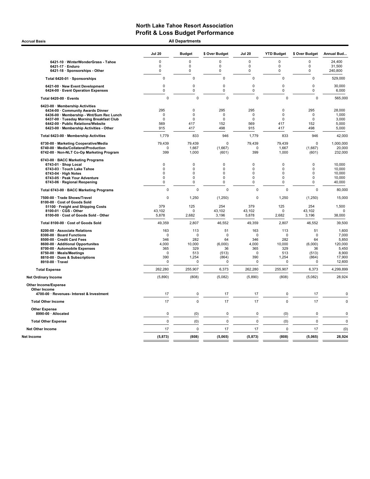Accrual Basis **Accrual Basis All Departments** 

|                                                                                | Jul 20                     | <b>Budget</b> | \$ Over Budget             | <b>Jul 20</b>              | <b>YTD Budget</b>          | \$ Over Budget             | Annual Bud       |
|--------------------------------------------------------------------------------|----------------------------|---------------|----------------------------|----------------------------|----------------------------|----------------------------|------------------|
| 6421-10 · WinterWonderGrass - Tahoe                                            | $\Omega$                   | $\Omega$      | O                          | $\Omega$                   | $\Omega$                   | $\Omega$                   | 24,400           |
| 6421-17 · Enduro                                                               | 0                          | $\mathbf 0$   | $\mathbf 0$                | $\mathbf 0$                | $\mathbf 0$                | 0                          | 31,500           |
| 6421-18 · Sponsorships - Other                                                 | 0                          | $\mathbf 0$   | $\mathbf 0$                | $\mathbf 0$                | $\mathbf 0$                | 0                          | 240,800          |
| Total 6420-01 · Sponsorships                                                   | $\mathbf 0$                | 0             | $\mathbf 0$                | 0                          | $\mathbf 0$                | $\mathbf 0$                | 529,000          |
| 6421-00 · New Event Development<br>6424-00 · Event Operation Expenses          | $\mathbf 0$<br>0           | 0<br>0        | $\mathbf 0$<br>$\mathbf 0$ | $\mathbf 0$<br>$\pmb{0}$   | $\mathbf 0$<br>$\pmb{0}$   | $\mathbf 0$<br>$\pmb{0}$   | 30,000<br>6,000  |
| Total 6420-00 · Events                                                         | $\mathbf 0$                | $\mathbf 0$   | $\mathbf 0$                | $\Omega$                   | $\mathbf 0$                | 0                          | 565,000          |
| 6423-00 · Membership Activities                                                |                            |               |                            |                            |                            |                            |                  |
| 6434-00 Community Awards Dinner                                                | 295                        | 0             | 295                        | 295                        | $\mathbf 0$                | 295                        | 28,000           |
| 6436-00 · Membership - Wnt/Sum Rec Lunch                                       | $\mathbf 0$<br>$\mathbf 0$ | 0<br>0        | $\mathbf 0$<br>$\mathbf 0$ | $\mathbf 0$<br>$\mathbf 0$ | $\mathbf 0$<br>$\mathbf 0$ | $\mathbf 0$<br>$\mathbf 0$ | 1,000            |
| 6437-00 · Tuesday Morning Breakfast Club<br>6442-00 · Public Relations/Website | 569                        | 417           | 152                        | 569                        | 417                        | 152                        | 3,000<br>5,000   |
| 6423-00 · Membership Activities - Other                                        | 915                        | 417           | 498                        | 915                        | 417                        | 498                        | 5,000            |
| Total 6423-00 · Membership Activities                                          | 1,779                      | 833           | 946                        | 1,779                      | 833                        | 946                        | 42,000           |
| 6730-00 · Marketing Cooperative/Media                                          | 79,439                     | 79,439        | 0                          | 79,439                     | 79,439                     | $\pmb{0}$                  | 1,000,000        |
| 6740-00 · Media/Collateral/Production                                          | 0                          | 1,667         | (1,667)                    | 0                          | 1,667                      | (1,667)                    | 20,000           |
| 6742-00 · Non-NLT Co-Op Marketing Program                                      | 399                        | 1,000         | (601)                      | 399                        | 1,000                      | (601)                      | 232,000          |
| 6743-00 · BACC Marketing Programs                                              |                            |               |                            |                            |                            |                            |                  |
| 6743-01 · Shop Local                                                           | $\pmb{0}$                  | 0             | $\mathbf 0$                | 0                          | $\mathbf 0$                | 0                          | 10,000           |
| 6743-03 · Touch Lake Tahoe                                                     | $\pmb{0}$                  | 0             | $\mathbf 0$                | 0                          | $\pmb{0}$                  | $\pmb{0}$                  | 10,000           |
| $6743-04 \cdot$ High Notes<br>6743-05 · Peak Your Adventure                    | $\mathbf 0$<br>$\Omega$    | 0<br>$\Omega$ | 0<br>$\Omega$              | 0<br>$\mathbf 0$           | 0<br>$\Omega$              | $\mathbf 0$<br>$\mathbf 0$ | 10,000<br>10,000 |
| 6743-06 · Regional Reopening                                                   | 0                          | 0             | 0                          | 0                          | $\mathbf 0$                | $\pmb{0}$                  | 40,000           |
| Total 6743-00 · BACC Marketing Programs                                        | $\mathbf 0$                | $\mathbf 0$   | $\mathbf 0$                | $\Omega$                   | $\mathbf 0$                | 0                          | 80,000           |
| 7500-00 · Trade Shows/Travel<br>8100-00 · Cost of Goods Sold                   | $\pmb{0}$                  | 1,250         | (1,250)                    | 0                          | 1,250                      | (1,250)                    | 15,000           |
| 51100 · Freight and Shipping Costs                                             | 379                        | 125           | 254                        | 379                        | 125                        | 254                        | 1,500            |
| 8100-01 · CGS - Other                                                          | 43,102                     | $\Omega$      | 43,102                     | 43,102                     | $\Omega$                   | 43,102                     | $\Omega$         |
| 8100-00 · Cost of Goods Sold - Other                                           | 5,878                      | 2,682         | 3,196                      | 5,878                      | 2,682                      | 3,196                      | 38,000           |
| Total 8100-00 · Cost of Goods Sold                                             | 49,359                     | 2,807         | 46,552                     | 49,359                     | 2,807                      | 46,552                     | 39,500           |
| 8200-00 · Associate Relations                                                  | 163                        | 113           | 51                         | 163                        | 113                        | 51                         | 1,600            |
| 8300-00 · Board Functions                                                      | $\mathbf 0$                | $\mathbf 0$   | $\mathbf 0$                | $\Omega$                   | $\mathbf 0$                | $\mathbf 0$                | 7,000            |
| 8500-00 · Credit Card Fees                                                     | 346                        | 282           | 64                         | 346                        | 282                        | 64                         | 5,850            |
| 8600-00 · Additional Opportunites                                              | 4,000                      | 10,000        | (6,000)                    | 4,000                      | 10.000                     | (6,000)                    | 120,000          |
| 8700-00 · Automobile Expenses                                                  | 365                        | 329           | 36                         | 365                        | 329                        | 36                         | 5,450            |
| 8750-00 · Meals/Meetings<br>8810-00 · Dues & Subscriptions                     | 0<br>390                   | 513<br>1,254  | (513)<br>(864)             | $\mathbf 0$<br>390         | 513<br>1,254               | (513)<br>(864)             | 8,900<br>17,900  |
| 8910-00 · Travel                                                               | 0                          | $\mathbf 0$   | 0                          | $\Omega$                   | $\mathbf 0$                | 0                          | 12,600           |
| <b>Total Expense</b>                                                           | 262,280                    | 255,907       | 6,373                      | 262,280                    | 255,907                    | 6,373                      | 4,299,899        |
| <b>Net Ordinary Income</b>                                                     | (5,890)                    | (808)         | (5,082)                    | (5,890)                    | (808)                      | (5,082)                    | 28,924           |
| Other Income/Expense                                                           |                            |               |                            |                            |                            |                            |                  |
| Other Income                                                                   |                            |               |                            |                            |                            |                            |                  |
| 4700-00 · Revenues- Interest & Investment                                      | 17                         | $\pmb{0}$     | 17                         | 17                         | $\pmb{0}$                  | 17                         | $\mathbf 0$      |
| <b>Total Other Income</b>                                                      | 17                         | $\mathbf 0$   | 17                         | 17                         | $\mathbf 0$                | 17                         | $\mathbf 0$      |
| <b>Other Expense</b><br>8990-00 · Allocated                                    | 0                          | (0)           | 0                          | 0                          | (0)                        | 0                          | 0                |
| <b>Total Other Expense</b>                                                     | $\mathbf 0$                | (0)           | $\mathbf 0$                | $\mathbf 0$                | (0)                        | $\mathbf 0$                | $\mathbf 0$      |
|                                                                                | 17                         | $\mathbf 0$   |                            |                            | $\mathbf 0$                |                            |                  |
| <b>Net Other Income</b>                                                        |                            |               | 17                         | 17                         |                            | 17                         | (0)              |
| Net Income                                                                     | (5, 873)                   | (808)         | (5,065)                    | (5, 873)                   | (808)                      | (5,065)                    | 28,924           |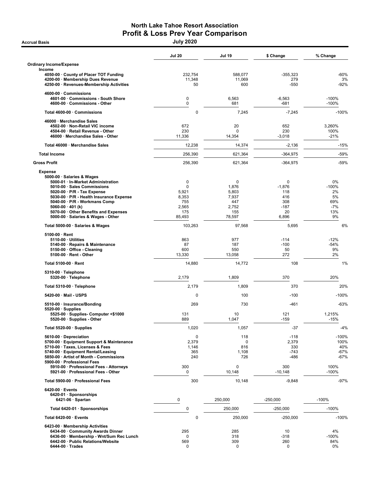# North Lake Tahoe Resort Association **Profit & Loss Prev Year Comparison**<br>July 2020

|                                                                                                                                                                                                                                                                                                                                             | <b>Jul 20</b>                                             | <b>Jul 19</b>                                                 | \$ Change                                                   | % Change                                               |
|---------------------------------------------------------------------------------------------------------------------------------------------------------------------------------------------------------------------------------------------------------------------------------------------------------------------------------------------|-----------------------------------------------------------|---------------------------------------------------------------|-------------------------------------------------------------|--------------------------------------------------------|
| Ordinary Income/Expense                                                                                                                                                                                                                                                                                                                     |                                                           |                                                               |                                                             |                                                        |
| Income<br>4050-00 County of Placer TOT Funding<br>4200-00 · Membership Dues Revenue<br>4250-00 · Revenues-Membership Activities                                                                                                                                                                                                             | 232,754<br>11,348<br>50                                   | 588,077<br>11,069<br>600                                      | -355,323<br>279<br>$-550$                                   | $-60%$<br>3%<br>-92%                                   |
| 4600-00 Commissions<br>4601-00 Commissions - South Shore<br>4600-00 Commissions - Other                                                                                                                                                                                                                                                     | 0<br>$\mathbf 0$                                          | 6,563<br>681                                                  | $-6,563$<br>$-681$                                          | $-100%$<br>$-100%$                                     |
| Total 4600-00 · Commissions                                                                                                                                                                                                                                                                                                                 | $\mathbf 0$                                               | 7,245                                                         | $-7,245$                                                    | $-100%$                                                |
| 46000 · Merchandise Sales<br>4502-00 · Non-Retail VIC income<br>4504-00 · Retail Revenue - Other<br>46000 · Merchandise Sales - Other                                                                                                                                                                                                       | 672<br>230<br>11,336                                      | 20<br>$\Omega$<br>14,354                                      | 652<br>230<br>$-3,018$                                      | 3,260%<br>100%<br>$-21%$                               |
| Total 46000 · Merchandise Sales                                                                                                                                                                                                                                                                                                             | 12,238                                                    | 14,374                                                        | $-2,136$                                                    | $-15%$                                                 |
| <b>Total Income</b>                                                                                                                                                                                                                                                                                                                         | 256,390                                                   | 621,364                                                       | $-364,975$                                                  | -59%                                                   |
| <b>Gross Profit</b>                                                                                                                                                                                                                                                                                                                         | 256,390                                                   | 621,364                                                       | -364,975                                                    | -59%                                                   |
| <b>Expense</b><br>5000-00 · Salaries & Wages<br>5000-01 · In-Market Administration<br>5010-00 · Sales Commissions<br>$5020-00 \cdot P/R$ - Tax Expense<br>5030-00 · P/R - Health Insurance Expense<br>5040-00 · P/R - Workmans Comp<br>$5060-00 \cdot 401$ (k)<br>5070-00 Other Benefits and Expenses<br>5000-00 · Salaries & Wages - Other | 0<br>0<br>5,921<br>8,353<br>755<br>2,565<br>175<br>85,493 | 0<br>1,876<br>5,803<br>7,937<br>447<br>2,752<br>155<br>78,597 | 0<br>$-1,876$<br>118<br>416<br>308<br>$-187$<br>20<br>6,896 | 0%<br>$-100%$<br>2%<br>5%<br>69%<br>$-7%$<br>13%<br>9% |
| Total 5000-00 · Salaries & Wages                                                                                                                                                                                                                                                                                                            | 103,263                                                   | 97,568                                                        | 5,695                                                       | 6%                                                     |
| 5100-00 · Rent<br>5110-00 · Utilities<br>5140-00 · Repairs & Maintenance<br>5150-00 Office - Cleaning<br>5100-00 · Rent - Other                                                                                                                                                                                                             | 863<br>87<br>600<br>13,330                                | 977<br>187<br>550<br>13,058                                   | $-114$<br>$-100$<br>50<br>272                               | $-12%$<br>$-54%$<br>9%<br>2%                           |
| Total 5100-00 · Rent                                                                                                                                                                                                                                                                                                                        | 14,880                                                    | 14,772                                                        | 108                                                         | 1%                                                     |
| $5310-00 \cdot$ Telephone<br>5320-00 · Telephone                                                                                                                                                                                                                                                                                            | 2,179                                                     | 1,809                                                         | 370                                                         | 20%                                                    |
| Total 5310-00 · Telephone                                                                                                                                                                                                                                                                                                                   | 2,179                                                     | 1,809                                                         | 370                                                         | 20%                                                    |
| 5420-00 Mail - USPS                                                                                                                                                                                                                                                                                                                         | 0                                                         | 100                                                           | $-100$                                                      | $-100%$                                                |
| 5510-00 · Insurance/Bonding<br>$5520-00 \cdot$ Supplies<br>5525-00 · Supplies- Computer <\$1000                                                                                                                                                                                                                                             | 269<br>131                                                | 730<br>10                                                     | $-461$<br>121                                               | $-63%$<br>1,215%                                       |
| 5520-00 · Supplies - Other                                                                                                                                                                                                                                                                                                                  | 889                                                       | 1,047                                                         | $-159$                                                      | $-15%$                                                 |
| Total 5520-00 $\cdot$ Supplies<br>5610-00 Depreciation<br>5700-00 · Equipment Support & Maintenance<br>5710-00 · Taxes, Licenses & Fees<br>5740-00 · Equipment Rental/Leasing<br>5850-00 · Artist of Month - Commissions<br>5900-00 · Professional Fees                                                                                     | 1,020<br>$\mathbf 0$<br>2,379<br>1,146<br>365<br>240      | 1,057<br>118<br>0<br>816<br>1,108<br>726                      | $-37$<br>$-118$<br>2,379<br>330<br>$-743$<br>$-486$         | -4%<br>$-100%$<br>100%<br>40%<br>-67%<br>-67%          |
| 5910-00 · Professional Fees - Attorneys<br>5921-00 · Professional Fees - Other                                                                                                                                                                                                                                                              | 300<br>0                                                  | 0<br>10,148                                                   | 300<br>$-10,148$                                            | 100%<br>$-100%$                                        |
| Total 5900-00 · Professional Fees                                                                                                                                                                                                                                                                                                           | 300                                                       | 10,148                                                        | $-9,848$                                                    | $-97%$                                                 |
| 6420-00 · Events<br>6420-01 · Sponsorships<br>$6421-06 \cdot$ Spartan                                                                                                                                                                                                                                                                       | 0                                                         | 250,000                                                       | $-250,000$                                                  | $-100%$                                                |
| Total 6420-01 · Sponsorships                                                                                                                                                                                                                                                                                                                | $\pmb{0}$                                                 | 250,000                                                       | $-250,000$                                                  | $-100%$                                                |
| Total $6420-00 \cdot$ Events                                                                                                                                                                                                                                                                                                                | 0                                                         | 250,000                                                       | $-250,000$                                                  | $-100%$                                                |
| 6423-00 · Membership Activities<br>6434-00 Community Awards Dinner<br>6436-00 · Membership - Wnt/Sum Rec Lunch<br>6442-00 · Public Relations/Website<br>$6444-00 \cdot$ Trades                                                                                                                                                              | 295<br>0<br>569<br>0                                      | 285<br>318<br>309<br>0                                        | 10<br>$-318$<br>260<br>0                                    | 4%<br>$-100%$<br>84%<br>0%                             |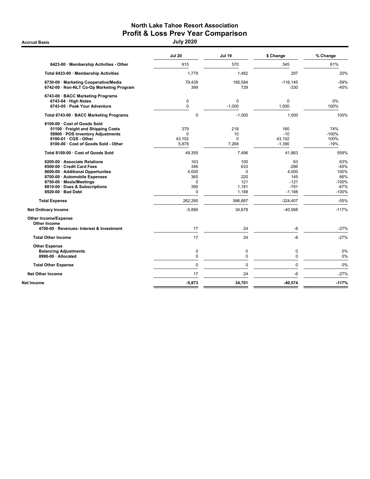# North Lake Tahoe Resort Association Profit & Loss Prev Year Comparison<br>July 2020

|                                                                                                                                                                                                                                                                           | <b>Jul 20</b>                                                             | <b>Jul 19</b>                                                        | \$ Change                                                                               | % Change                                                                        |
|---------------------------------------------------------------------------------------------------------------------------------------------------------------------------------------------------------------------------------------------------------------------------|---------------------------------------------------------------------------|----------------------------------------------------------------------|-----------------------------------------------------------------------------------------|---------------------------------------------------------------------------------|
| 6423-00 · Membership Activities - Other                                                                                                                                                                                                                                   | 915                                                                       | 570                                                                  | 345                                                                                     | 61%                                                                             |
| Total 6423-00 · Membership Activities                                                                                                                                                                                                                                     | 1,779                                                                     | 1,482                                                                | 297                                                                                     | 20%                                                                             |
| 6730-00 · Marketing Cooperative/Media<br>6742-00 · Non-NLT Co-Op Marketing Program                                                                                                                                                                                        | 79,439<br>399                                                             | 195,584<br>729                                                       | $-116.145$<br>$-330$                                                                    | $-59%$<br>$-45%$                                                                |
| 6743-00 · BACC Marketing Programs                                                                                                                                                                                                                                         |                                                                           |                                                                      |                                                                                         |                                                                                 |
| $6743-04 \cdot$ High Notes<br>6743-05 · Peak Your Adventure                                                                                                                                                                                                               | $\mathbf 0$<br>$\mathbf 0$                                                | 0<br>$-1,000$                                                        | 0<br>1,000                                                                              | $0\%$<br>100%                                                                   |
| Total 6743-00 · BACC Marketing Programs                                                                                                                                                                                                                                   | 0                                                                         | $-1,000$                                                             | 1,000                                                                                   | 100%                                                                            |
| 8100-00 · Cost of Goods Sold<br>51100 · Freight and Shipping Costs<br>59900 · POS Inventory Adjustments<br>8100-01 · CGS - Other<br>8100-00 · Cost of Goods Sold - Other                                                                                                  | 379<br>$\Omega$<br>43.102<br>5,878                                        | 218<br>10<br>$\mathbf 0$<br>7,268                                    | 160<br>$-10$<br>43.102<br>$-1,390$                                                      | 74%<br>$-100%$<br>100%<br>$-19%$                                                |
| Total 8100-00 · Cost of Goods Sold                                                                                                                                                                                                                                        | 49,359                                                                    | 7,496                                                                | 41,863                                                                                  | 559%                                                                            |
| 8200-00 Associate Relations<br>8500-00 · Credit Card Fees<br>8600-00 · Additional Opportunites<br>8700-00 · Automobile Expenses<br>8750-00 · Meals/Meetings<br>8810-00 · Dues & Subscriptions<br>8920-00 · Bad Debt<br><b>Total Expense</b><br><b>Net Ordinary Income</b> | 163<br>346<br>4,000<br>365<br>0<br>390<br>$\Omega$<br>262,280<br>$-5,890$ | 100<br>633<br>0<br>220<br>121<br>1,181<br>1,188<br>586,687<br>34,678 | 63<br>$-286$<br>4,000<br>145<br>$-121$<br>$-791$<br>$-1,188$<br>$-324,407$<br>$-40,568$ | 63%<br>-45%<br>100%<br>66%<br>$-100%$<br>$-67%$<br>$-100%$<br>$-55%$<br>$-117%$ |
| <b>Other Income/Expense</b><br><b>Other Income</b><br>4700-00 · Revenues- Interest & Investment                                                                                                                                                                           | 17                                                                        | 24                                                                   | $-6$                                                                                    | $-27%$                                                                          |
| <b>Total Other Income</b>                                                                                                                                                                                                                                                 | 17                                                                        | 24                                                                   | $-6$                                                                                    | $-27%$                                                                          |
| <b>Other Expense</b><br><b>Balancing Adjustments</b><br>8990-00 · Allocated                                                                                                                                                                                               | 0<br>0                                                                    | $\mathbf 0$<br>0                                                     | 0<br>$\mathbf 0$                                                                        | 0%<br>0%                                                                        |
| <b>Total Other Expense</b>                                                                                                                                                                                                                                                | 0                                                                         | $\mathbf 0$                                                          | $\mathbf 0$                                                                             | 0%                                                                              |
| <b>Net Other Income</b>                                                                                                                                                                                                                                                   | 17                                                                        | 24                                                                   | $-6$                                                                                    | $-27%$                                                                          |
| Net Income                                                                                                                                                                                                                                                                | $-5,873$                                                                  | 34,701                                                               | $-40,574$                                                                               | $-117%$                                                                         |
|                                                                                                                                                                                                                                                                           |                                                                           |                                                                      |                                                                                         |                                                                                 |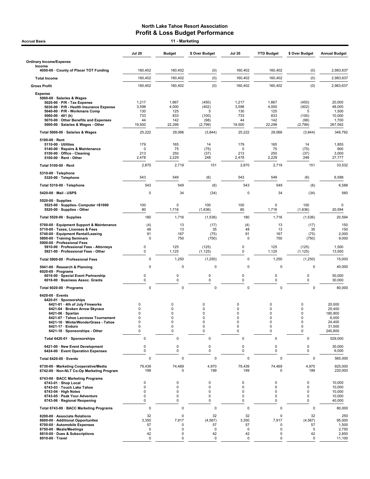| <b>Accrual Basis</b>                                                                           |                            | 11 - Marketing           |                            |               |                   |                            |                       |
|------------------------------------------------------------------------------------------------|----------------------------|--------------------------|----------------------------|---------------|-------------------|----------------------------|-----------------------|
|                                                                                                | <b>Jul 20</b>              | <b>Budget</b>            | \$ Over Budget             | <b>Jul 20</b> | <b>YTD Budget</b> | \$ Over Budget             | <b>Annual Budget</b>  |
| <b>Ordinary Income/Expense</b><br>Income                                                       |                            |                          |                            |               |                   |                            |                       |
| 4050-00 County of Placer TOT Funding                                                           | 160,402                    | 160,402                  | (0)                        | 160,402       | 160,402           | (0)                        | 2,983,637             |
| <b>Total Income</b>                                                                            | 160,402                    | 160,402                  | (0)                        | 160,402       | 160,402           | (0)                        | 2,983,637             |
| <b>Gross Profit</b>                                                                            | 160,402                    | 160,402                  | (0)                        | 160,402       | 160,402           | (0)                        | 2,983,637             |
| <b>Expense</b>                                                                                 |                            |                          |                            |               |                   |                            |                       |
| 5000-00 · Salaries & Wages<br>$5020-00 \cdot P/R$ - Tax Expense                                | 1,217                      | 1,667                    | (450)                      | 1,217         | 1,667             | (450)                      | 20,000                |
| 5030-00 · P/R - Health Insurance Expense<br>5040-00 · P/R - Workmans Comp                      | 3,598<br>130               | 4,000<br>125             | (402)<br>5                 | 3,598<br>130  | 4,000<br>125      | (402)<br>5                 | 48,000<br>1,500       |
| 5060-00 · 401 (k)<br>5070-00 Other Benefits and Expenses                                       | 733<br>44                  | 833<br>142               | (100)<br>(98)              | 733<br>44     | 833<br>142        | (100)<br>(98)              | 10,000<br>1,700       |
| 5000-00 · Salaries & Wages - Other                                                             | 19,500                     | 22,299                   | (2,799)                    | 19,500        | 22,299            | (2,799)                    | 267,592               |
| Total 5000-00 · Salaries & Wages                                                               | 25,222                     | 29,066                   | (3,844)                    | 25,222        | 29,066            | (3,844)                    | 348,792               |
| $5100-00 \cdot$ Rent<br>$5110-00 \cdot$ Utilities                                              | 179                        | 165                      | 14                         | 179           | 165               | 14                         | 1,855                 |
| 5140-00 · Repairs & Maintenance                                                                | 0                          | 75                       | (75)                       | 0             | 75                | (75)                       | 900                   |
| 5150-00 · Office - Cleaning<br>$5100-00 \cdot$ Rent - Other                                    | 213<br>2,478               | 250<br>2,229             | (37)<br>248                | 213<br>2,478  | 250<br>2,229      | (37)<br>248                | 3,000<br>27,777       |
| Total 5100-00 · Rent                                                                           | 2,870                      | 2,719                    | 151                        | 2,870         | 2,719             | 151                        | 33,532                |
| 5310-00 · Telephone                                                                            |                            |                          |                            |               |                   |                            |                       |
| 5320-00 · Telephone                                                                            | 543                        | 549                      | (6)                        | 543           | 549               | (6)                        | 6,588                 |
| Total 5310-00 · Telephone                                                                      | 543                        | 549                      | (6)                        | 543           | 549               | (6)                        | 6,588                 |
| 5420-00 · Mail - USPS                                                                          | 0                          | 34                       | (34)                       | 0             | 34                | (34)                       | 560                   |
| $5520-00 \cdot$ Supplies<br>5525-00 · Supplies- Computer <\$1000<br>5520-00 · Supplies - Other | 100<br>80                  | $\Omega$<br>1,716        | 100<br>(1,636)             | 100<br>80     | 0<br>1,716        | 100<br>(1,636)             | $\mathbf 0$<br>20,594 |
| Total 5520-00 · Supplies                                                                       | 180                        | 1,716                    | (1,536)                    | 180           | 1,716             | (1,536)                    | 20,594                |
| 5700-00 · Equipment Support & Maintenance                                                      | (4)                        | 13                       | (17)                       | (4)           | 13                | (17)                       | 150                   |
| 5710-00 · Taxes, Licenses & Fees<br>5740-00 · Equipment Rental/Leasing                         | 48<br>91                   | 13<br>167                | 35<br>(75)                 | 48<br>91      | 13<br>167         | 35<br>(75)                 | 150<br>2,000          |
| 5800-00 · Training Seminars<br>5900-00 · Professional Fees                                     | 0                          | 750                      | (750)                      | 0             | 750               | (750)                      | 9,000                 |
| 5910-00 · Professional Fees - Attorneys<br>5921-00 · Professional Fees - Other                 | 0<br>$\mathbf 0$           | 125<br>1,125             | (125)<br>(1, 125)          | 0<br>0        | 125<br>1,125      | (125)<br>(1, 125)          | 1,500<br>13,500       |
| Total 5900-00 · Professional Fees                                                              | 0                          | 1,250                    | (1,250)                    | 0             | 1,250             | (1, 250)                   | 15,000                |
| 5941-00 · Research & Planning<br>$6020-00 \cdot$ Programs                                      | $\mathbf 0$                | 0                        | 0                          | 0             | 0                 | 0                          | 40,000                |
| 6016-00 · Special Event Partnership<br>6018-00 · Business Assoc. Grants                        | 0<br>0                     | $\pmb{0}$<br>0           | 0<br>$\mathbf 0$           | 0<br>0        | 0<br>$\mathbf 0$  | 0<br>$\mathbf 0$           | 50,000<br>30,000      |
| Total 6020-00 · Programs                                                                       | $\mathbf 0$                | 0                        | 0                          | 0             | 0                 | $\mathbf 0$                | 80,000                |
| 6420-00 · Events                                                                               |                            |                          |                            |               |                   |                            |                       |
| 6420-01 · Sponsorships<br>6421-01 · 4th of July Fireworks                                      | $\mathbf 0$                | $\mathbf 0$              | 0                          | $\mathbf 0$   | $\mathbf 0$       | $\mathbf 0$                | 20.000                |
| 6421-04 · Broken Arrow Skyrace                                                                 | 0<br>$\mathbf 0$           | 0<br>$\mathbf 0$         | 0<br>$\mathbf 0$           | 0<br>0        | 0<br>$\mathbf 0$  | 0<br>$\pmb{0}$             | 25,400                |
| $6421-06 \cdot$ Spartan<br>6421-07 · Tahoe Lacrosse Tournament                                 | $\Omega$                   | $\mathbf 0$              | $\mathbf 0$                | $\mathbf 0$   | $\mathbf 0$       | $\mathbf 0$                | 180,900<br>6,000      |
| 6421-10 · WinterWonderGrass - Tahoe                                                            | $\mathbf 0$<br>$\mathbf 0$ | $\mathbf 0$              | $\mathbf 0$<br>$\mathbf 0$ | 0             | 0                 | $\mathbf 0$                | 24,400                |
| 6421-17 · Enduro<br>6421-18 · Sponsorships - Other                                             | $\mathbf 0$                | $\pmb{0}$<br>$\mathbf 0$ | $\Omega$                   | 0<br>0        | 0<br>$\mathbf 0$  | $\pmb{0}$<br>$\mathbf 0$   | 31,500<br>240,800     |
| Total 6420-01 · Sponsorships                                                                   | 0                          | $\pmb{0}$                | 0                          | 0             | 0                 | 0                          | 529,000               |
| 6421-00 · New Event Development<br>6424-00 · Event Operation Expenses                          | 0<br>0                     | $\pmb{0}$<br>0           | 0<br>0                     | 0<br>0        | 0<br>0            | 0<br>$\mathbf 0$           | 30,000<br>6,000       |
| Total 6420-00 · Events                                                                         | $\mathbf 0$                | 0                        | 0                          | 0             | 0                 | 0                          | 565,000               |
| 6730-00 · Marketing Cooperative/Media<br>6742-00 · Non-NLT Co-Op Marketing Program             | 79,439<br>199              | 74,469<br>0              | 4,970<br>199               | 79,439<br>199 | 74,469<br>0       | 4,970<br>199               | 925,000<br>220,000    |
| 6743-00 · BACC Marketing Programs                                                              |                            |                          |                            |               |                   |                            |                       |
| 6743-01 · Shop Local<br>6743-03 · Touch Lake Tahoe                                             | 0<br>$\Omega$              | $\Omega$<br>$\Omega$     | 0<br>$\mathbf 0$           | 0<br>$\Omega$ | 0<br>$\Omega$     | 0<br>$\mathbf 0$           | 10,000<br>10,000      |
| $6743-04 \cdot$ High Notes                                                                     | 0                          | 0                        | $\mathbf 0$                | 0             | 0                 | $\Omega$                   | 10,000                |
| 6743-05 · Peak Your Adventure<br>6743-06 · Regional Reopening                                  | 0<br>0                     | 0<br>0                   | $\mathbf 0$<br>$\mathbf 0$ | 0<br>0        | 0<br>0            | $\mathbf 0$<br>$\mathbf 0$ | 10,000<br>40,000      |
| Total 6743-00 · BACC Marketing Programs                                                        | 0                          | 0                        | $\mathsf 0$                | 0             | 0                 | 0                          | 80,000                |
| 8200-00 · Associate Relations                                                                  | 32                         | 0                        | 32                         | 32            | $\mathbf 0$       | 32                         | 250                   |
| 8600-00 · Additional Opportunites<br>8700-00 · Automobile Expenses                             | 3,350<br>57                | 7,917<br>0               | (4, 567)<br>57             | 3,350<br>57   | 7,917<br>0        | (4, 567)<br>57             | 95,000<br>1,500       |
| 8750-00 · Meals/Meetings                                                                       | $\mathbf 0$                | 0                        | $\mathbf{0}$               | $\mathbf 0$   | 0                 | $\mathbf 0$                | 2,750                 |
| 8810-00 · Dues & Subscriptions<br>8910-00 · Travel                                             | 42<br>0                    | 0<br>0                   | 42<br>$\mathsf 0$          | 42<br>0       | 0<br>0            | 42<br>$\mathbf 0$          | 2,850<br>11,100       |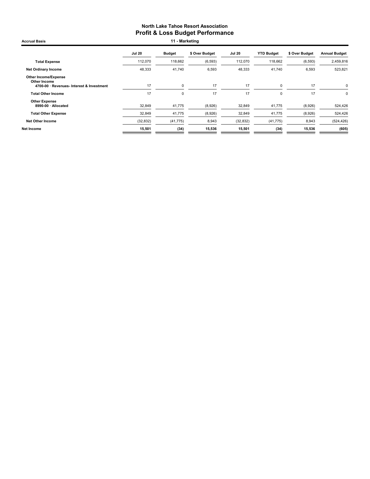| <b>Accrual Basis</b>                                                              |                  | 11 - Marketing   |                    |                  |                   |                    |                      |
|-----------------------------------------------------------------------------------|------------------|------------------|--------------------|------------------|-------------------|--------------------|----------------------|
|                                                                                   | <b>Jul 20</b>    | <b>Budget</b>    | \$ Over Budget     | <b>Jul 20</b>    | <b>YTD Budget</b> | \$ Over Budget     | <b>Annual Budget</b> |
| <b>Total Expense</b>                                                              | 112,070          | 118,662          | (6, 593)           | 112,070          | 118,662           | (6, 593)           | 2,459,816            |
| <b>Net Ordinary Income</b>                                                        | 48,333           | 41,740           | 6,593              | 48,333           | 41,740            | 6,593              | 523,821              |
| Other Income/Expense<br>Other Income<br>4700-00 · Revenues- Interest & Investment | 17               | 0                | 17                 | 17               | $\mathbf 0$       | 17                 | $\Omega$             |
| <b>Total Other Income</b>                                                         | 17               | 0                | 17                 | 17               | 0                 | 17                 | $\Omega$             |
| <b>Other Expense</b><br>8990-00 · Allocated<br><b>Total Other Expense</b>         | 32,849<br>32,849 | 41,775<br>41,775 | (8,926)<br>(8,926) | 32,849<br>32,849 | 41,775<br>41,775  | (8,926)<br>(8,926) | 524,426<br>524,426   |
| <b>Net Other Income</b>                                                           | (32, 832)        | (41, 775)        | 8,943              | (32, 832)        | (41, 775)         | 8,943              | (524, 426)           |
| Net Income                                                                        | 15,501           | (34)             | 15,536             | 15,501           | (34)              | 15,536             | (605)                |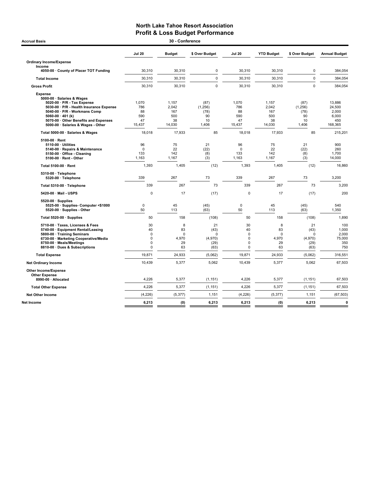| <b>Accrual Basis</b>                                                                                                                                                                                                                                               |                                                                | 30 - Conference                              |                                                   |                                                                      |                                              |                                                   |                                                      |
|--------------------------------------------------------------------------------------------------------------------------------------------------------------------------------------------------------------------------------------------------------------------|----------------------------------------------------------------|----------------------------------------------|---------------------------------------------------|----------------------------------------------------------------------|----------------------------------------------|---------------------------------------------------|------------------------------------------------------|
|                                                                                                                                                                                                                                                                    | <b>Jul 20</b>                                                  | <b>Budget</b>                                | \$ Over Budget                                    | <b>Jul 20</b>                                                        | <b>YTD Budget</b>                            | \$ Over Budget                                    | <b>Annual Budget</b>                                 |
| <b>Ordinary Income/Expense</b><br>Income<br>4050-00 County of Placer TOT Funding                                                                                                                                                                                   | 30.310                                                         | 30.310                                       | $\mathbf 0$                                       | 30.310                                                               | 30.310                                       | $\mathbf 0$                                       | 384,054                                              |
| <b>Total Income</b>                                                                                                                                                                                                                                                | 30,310                                                         | 30,310                                       | $\mathbf 0$                                       | 30,310                                                               |                                              | $\mathbf 0$                                       |                                                      |
|                                                                                                                                                                                                                                                                    |                                                                |                                              |                                                   |                                                                      | 30,310                                       |                                                   | 384,054                                              |
| <b>Gross Profit</b>                                                                                                                                                                                                                                                | 30.310                                                         | 30,310                                       | $\Omega$                                          | 30,310                                                               | 30,310                                       | $\mathbf 0$                                       | 384,054                                              |
| <b>Expense</b><br>5000-00 · Salaries & Wages<br>5020-00 · P/R - Tax Expense<br>5030-00 · P/R - Health Insurance Expense<br>5040-00 · P/R - Workmans Comp<br>5060-00 $\cdot$ 401 (k)<br>5070-00 · Other Benefits and Expenses<br>5000-00 · Salaries & Wages - Other | 1,070<br>786<br>88<br>590<br>47<br>15,437                      | 1,157<br>2,042<br>167<br>500<br>38<br>14,030 | (87)<br>(1, 256)<br>(78)<br>90<br>10<br>1,406     | 1,070<br>786<br>88<br>590<br>47<br>15,437                            | 1,157<br>2,042<br>167<br>500<br>38<br>14,030 | (87)<br>(1, 256)<br>(78)<br>90<br>10<br>1,406     | 13.886<br>24,500<br>2,000<br>6,000<br>450<br>168,365 |
| Total 5000-00 · Salaries & Wages                                                                                                                                                                                                                                   | 18,018                                                         | 17,933                                       | 85                                                | 18,018                                                               | 17,933                                       | 85                                                | 215,201                                              |
| 5100-00 · Rent<br>5110-00 · Utilities<br>5140-00 · Repairs & Maintenance<br>5150-00 · Office - Cleaning<br>5100-00 · Rent - Other                                                                                                                                  | 96<br>$\Omega$<br>133<br>1,163                                 | 75<br>22<br>142<br>1,167                     | 21<br>(22)<br>(8)<br>(3)                          | 96<br>$\mathbf 0$<br>133<br>1,163                                    | 75<br>22<br>142<br>1,167                     | 21<br>(22)<br>(8)<br>(3)                          | 900<br>260<br>1,700<br>14,000                        |
| Total 5100-00 · Rent                                                                                                                                                                                                                                               | 1,393                                                          | 1,405                                        | (12)                                              | 1,393                                                                | 1,405                                        | (12)                                              | 16,860                                               |
| 5310-00 · Telephone<br>5320-00 · Telephone                                                                                                                                                                                                                         | 339                                                            | 267                                          | 73                                                | 339                                                                  | 267                                          | 73                                                | 3,200                                                |
| Total 5310-00 · Telephone                                                                                                                                                                                                                                          | 339                                                            | 267                                          | 73                                                | 339                                                                  | 267                                          | 73                                                | 3,200                                                |
| 5420-00 · Mail - USPS                                                                                                                                                                                                                                              | $\Omega$                                                       | 17                                           | (17)                                              | $\mathbf 0$                                                          | 17                                           | (17)                                              | 200                                                  |
| $5520-00 \cdot$ Supplies<br>5525-00 · Supplies- Computer <\$1000<br>5520-00 · Supplies - Other                                                                                                                                                                     | 0<br>50                                                        | 45<br>113                                    | (45)<br>(63)                                      | 0<br>50                                                              | 45<br>113                                    | (45)<br>(63)                                      | 540<br>1,350                                         |
| Total 5520-00 · Supplies                                                                                                                                                                                                                                           | 50                                                             | 158                                          | (108)                                             | 50                                                                   | 158                                          | (108)                                             | 1,890                                                |
| 5710-00 · Taxes, Licenses & Fees<br>5740-00 · Equipment Rental/Leasing<br>5800-00 · Training Seminars<br>6730-00 · Marketing Cooperative/Media<br>8750-00 · Meals/Meetings<br>8810-00 · Dues & Subscriptions                                                       | 30<br>40<br>$\Omega$<br>$\mathbf 0$<br>$\Omega$<br>$\mathbf 0$ | 8<br>83<br>$\Omega$<br>4,970<br>29<br>63     | 21<br>(43)<br>$\Omega$<br>(4,970)<br>(29)<br>(63) | 30<br>40<br>$\mathbf 0$<br>$\mathbf 0$<br>$\mathbf 0$<br>$\mathbf 0$ | 8<br>83<br>$\Omega$<br>4.970<br>29<br>63     | 21<br>(43)<br>$\Omega$<br>(4,970)<br>(29)<br>(63) | 100<br>1,000<br>2,000<br>75,000<br>350<br>750        |
| <b>Total Expense</b>                                                                                                                                                                                                                                               | 19,871                                                         | 24,933                                       | (5,062)                                           | 19,871                                                               | 24,933                                       | (5,062)                                           | 316,551                                              |
| <b>Net Ordinary Income</b>                                                                                                                                                                                                                                         | 10,439                                                         | 5,377                                        | 5,062                                             | 10,439                                                               | 5,377                                        | 5,062                                             | 67,503                                               |
| Other Income/Expense<br><b>Other Expense</b><br>8990-00 · Allocated                                                                                                                                                                                                | 4,226                                                          | 5,377                                        | (1, 151)                                          | 4,226                                                                | 5,377                                        | (1, 151)                                          | 67,503                                               |
|                                                                                                                                                                                                                                                                    | 4,226                                                          | 5,377                                        | (1, 151)                                          | 4,226                                                                | 5,377                                        | (1, 151)                                          |                                                      |
| <b>Total Other Expense</b>                                                                                                                                                                                                                                         |                                                                |                                              |                                                   |                                                                      |                                              |                                                   | 67,503                                               |
| <b>Net Other Income</b>                                                                                                                                                                                                                                            | (4, 226)                                                       | (5, 377)                                     | 1,151                                             | (4, 226)                                                             | (5, 377)                                     | 1,151                                             | (67, 503)                                            |
| <b>Net Income</b>                                                                                                                                                                                                                                                  | 6,213                                                          | (0)                                          | 6,213                                             | 6,213                                                                | (0)                                          | 6,213                                             | $\mathbf{0}$                                         |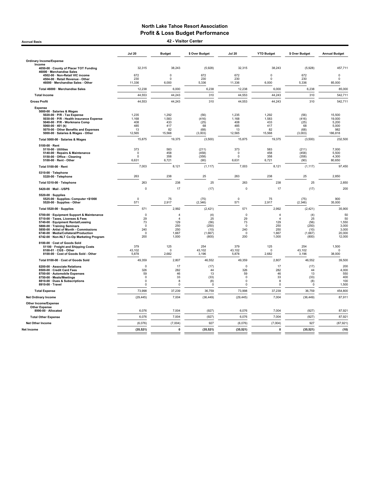Jul 20 Budget \$ Over Budget Jul 20 YTD Budget \$ Over Budget Annual Budget Ordinary Income/Expense Income 4050-00 · County of Placer TOT Funding 32,315 38,243 (5,928) 32,315 38,243 (5,928) 457,711 46000 · Merchandise Sales 4502-00 · Non-Retail VIC income 672 0 672 672 0 672 0 4504-00 · Retail Revenue - Other 230 0 230 230 0 230 0 46000 · Merchandise Sales - Other 11,336 6,000 5,336 11,336 6,000 5,336 85,000 Total 46000 · Merchandise Sales 12,238 6,000 6,238 12,238 6,000 6,238 85,000 Total Income 44,553 44,243 310 44,553 44,243 310 542,711 Gross Profit 44,553 44,243 310 44,553 44,243 310 542,711 Expense 5000-00 · Salaries & Wages 5020-00 · P/R - Tax Expense 1,235 1,292 (56) 1,235 1,292 (56) 15,500 5030-00 · P/R - Health Insurance Expense 1,168 1,583 (416) 1,168 1,583 (416) 19,000 5040-00 · P/R - Workmans Comp 408 433 (25) 408 433 (25) 5,200 5060-00 · 401 (k) 485 417 68 485 417 68 5,000 5070-00 · Other Benefits and Expenses 13 82 (68) 13 82 (68) 982 5000-00 · Salaries & Wages - Other 12,565 15,568 (3,003) 12,565 15,568 (3,003) 186,818 Total 5000-00 · Salaries & Wages 15,875 19,375 (3,500) 15,875 19,375 (3,500) 232,500  $5100-00 \cdot$  Rent<br>5110-00 · Utilities 51**10-00 · Utilities 373** 583 (211) 573 583 (211) 7,000 5140-00 · Repairs & Maintenance 0 458 (458) 0 458 (458) 5,500 5150-00 · Office - Cleaning 0 358 (358) 0 358 (358) 4,300 5100-00 · Rent - Other 6,631 6,721 (90) 6,631 6,721 (90) 80,650 Total 5100-00 · Rent 7,003 8,121 (1,117) 7,003 8,121 (1,117) 97,450 5310-00 · Telephone 5320-00 · Telephone 263 238 25 263 238 25 2,850 Total 5310-00 · Telephone 263 253 238 239 239 239 25 264 255 264 2550 264 2550 256 2560 2560 2560 2560 2560 25 5420-00 · Mail - USPS 0 17 (17) 0 17 200 5520-00 · Supplies 5525-00 · Supplies- Computer <\$1000 0 75 (75) 0 75 (75) 900 5520-00 · Supplies - Other 571 2,917 (2,346) 571 2,917 (2,346) 35,000 Total 5520-00 · Supplies 571 2,992 (2,421) 571 2,992 (2,421) 35,900 5700-00 · Equipment Support & Maintenance 0 4 (4) 0 4 (4) 50 5710-00 · Taxes, Licenses & Fees 29 4 25 29 4 25 50 5740-00 · Equipment Rental/Leasing 73 129 (56) 73 129 (56) 1,550 5800-00 · Training Seminars 0 250 (250) 0 250 (250) 3,000 5850-00 · Artist of Month - Commissions 240 250 (10) 240 250 (10) 3,000 6740-00 · Media/Collateral/Production 0 1,667 (1,667) 0 1,667 (1,667) 20,000 6690-00 · Naming Jerman are and the commissions of the commissions of the commissions of the commissions of the commissions of the commissions of the commissions of the commissions of the commissions of the commissions of 8100-00 · Cost of Goods Sold 51100 · Freight and Shipping Costs 379 125 254 379 125 254 1,500 8100-01 · CGS - Other 43,102 0 43,102 43,102 0 43,102 0 8100-00 · Cost of Goods Sold - Other 5,878 2,682 3,196 5,878 2,682 3,196 38,000 Total 8100-00 · Cost of Goods Sold 49,559 49,359 46,552 49,359 49,359 2,807 49,359 49,350 49,350 49,552 39,500 8200-00 · Associate Relations 0 17 (17) 0 17 (17) 200 8500-00 · Credit Card Fees 326 282 44 326 282 44 4,000 8700-00 · Automobile Expenses 59 46 13 59 46 13 550 8750-00 · Meals/Meetings 0 33 (33) 0 33 (33) 400 8810-00 · Dues & Subscriptions 0 8 (8) 0 8 (8) 100 8910-00 · Travel 0 0 0 0 0 0 1,500 Total Expense 73,998 37,239 73,998 37,239 36,759 454,800 Net Ordinary Income (29,445) 7,004 (36,449) (29,445) 7,004 (36,449) 87,911 Other Income/Expense Other Expense<br>8990-00 · Allocated 8**990-00 · Allocated** 6,076 7,004 6,076 7,004 87,921 Total Other Expense 6,076 7,004 6,076 7,004 87,921 Net Other Income (6,076) (7,004) 927 (6,076) (7,004) 927 (87,921) Net Income (35,521) 0 (35,521) (35,521) 0 (35,521) (10) Accrual Basis 42 - Visitor Center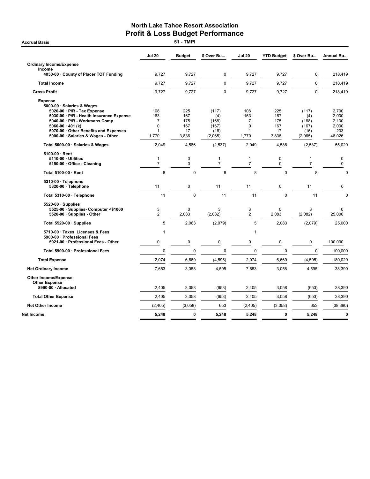|                                                                                                                                                                | <b>Jul 20</b>                  | <b>Budget</b>      | \$ Over Bu               | <b>Jul 20</b>        | <b>YTD Budget</b>          | \$ Over Bu                     | <b>Annual Bu</b>        |
|----------------------------------------------------------------------------------------------------------------------------------------------------------------|--------------------------------|--------------------|--------------------------|----------------------|----------------------------|--------------------------------|-------------------------|
| <b>Ordinary Income/Expense</b>                                                                                                                                 |                                |                    |                          |                      |                            |                                |                         |
| Income<br>4050-00 County of Placer TOT Funding                                                                                                                 | 9,727                          | 9,727              | 0                        | 9,727                | 9,727                      | 0                              | 218,419                 |
| <b>Total Income</b>                                                                                                                                            | 9,727                          | 9,727              | $\mathbf 0$              | 9,727                | 9,727                      | $\mathbf 0$                    | 218,419                 |
| <b>Gross Profit</b>                                                                                                                                            | 9,727                          | 9,727              | $\pmb{0}$                | 9,727                | 9,727                      | $\pmb{0}$                      | 218,419                 |
| <b>Expense</b><br>5000-00 · Salaries & Wages<br>$5020-00 \cdot P/R$ - Tax Expense<br>5030-00 · P/R - Health Insurance Expense<br>5040-00 · P/R - Workmans Comp | 108<br>163<br>7<br>$\mathbf 0$ | 225<br>167<br>175  | (117)<br>(4)<br>(168)    | 108<br>163<br>7<br>0 | 225<br>167<br>175<br>167   | (117)<br>(4)<br>(168)          | 2,700<br>2,000<br>2,100 |
| $5060-00 \cdot 401$ (k)<br>5070-00 Other Benefits and Expenses<br>5000-00 · Salaries & Wages - Other                                                           | 1<br>1,770                     | 167<br>17<br>3,836 | (167)<br>(16)<br>(2,065) | 1<br>1,770           | 17<br>3,836                | (167)<br>(16)<br>(2,065)       | 2,000<br>203<br>46,026  |
| Total 5000-00 · Salaries & Wages                                                                                                                               | 2,049                          | 4,586              | (2,537)                  | 2,049                | 4,586                      | (2,537)                        | 55,029                  |
| 5100-00 · Rent<br>5110-00 · Utilities<br>5150-00 · Office - Cleaning                                                                                           | $\mathbf{1}$<br>$\overline{7}$ | 0<br>$\mathbf 0$   | 1<br>$\overline{7}$      | 1<br>$\overline{7}$  | $\mathbf 0$<br>$\mathbf 0$ | $\mathbf{1}$<br>$\overline{7}$ | 0<br>0                  |
| Total 5100-00 · Rent                                                                                                                                           | 8                              | $\mathbf 0$        | 8                        | 8                    | $\mathbf 0$                | 8                              | $\mathbf 0$             |
| $5310-00 \cdot$ Telephone<br>5320-00 · Telephone                                                                                                               | 11                             | 0                  | 11                       | 11                   | 0                          | 11                             | 0                       |
| Total 5310-00 · Telephone                                                                                                                                      | 11                             | $\Omega$           | 11                       | 11                   | $\Omega$                   | 11                             | $\mathbf 0$             |
| $5520-00 \cdot$ Supplies<br>5525-00 · Supplies- Computer <\$1000<br>5520-00 Supplies - Other                                                                   | 3<br>$\overline{2}$            | 0<br>2.083         | 3<br>(2,082)             | 3<br>$\overline{2}$  | $\mathbf 0$<br>2,083       | 3<br>(2,082)                   | 0<br>25,000             |
| Total 5520-00 · Supplies                                                                                                                                       | 5                              | 2,083              | (2,079)                  | 5                    | 2,083                      | (2,079)                        | 25,000                  |
| 5710-00 · Taxes, Licenses & Fees<br>5900-00 · Professional Fees                                                                                                | 1                              |                    |                          | 1                    |                            |                                |                         |
| 5921-00 · Professional Fees - Other                                                                                                                            | $\mathbf 0$                    | 0                  | 0                        | 0                    | 0                          | 0                              | 100,000                 |
| Total 5900-00 · Professional Fees                                                                                                                              | $\mathbf 0$                    | $\mathbf 0$        | $\mathbf 0$              | $\mathbf 0$          | $\mathbf 0$                | $\pmb{0}$                      | 100,000                 |
| <b>Total Expense</b>                                                                                                                                           | 2,074                          | 6,669              | (4, 595)                 | 2,074                | 6,669                      | (4, 595)                       | 180,029                 |
| <b>Net Ordinary Income</b>                                                                                                                                     | 7,653                          | 3,058              | 4,595                    | 7,653                | 3,058                      | 4,595                          | 38,390                  |
| <b>Other Income/Expense</b><br><b>Other Expense</b><br>8990-00 · Allocated                                                                                     | 2,405                          | 3,058              | (653)                    | 2,405                | 3,058                      | (653)                          | 38,390                  |
| <b>Total Other Expense</b>                                                                                                                                     | 2,405                          | 3,058              | (653)                    | 2,405                | 3,058                      | (653)                          | 38,390                  |
|                                                                                                                                                                |                                |                    |                          |                      |                            |                                |                         |
| <b>Net Other Income</b>                                                                                                                                        | (2,405)                        | (3,058)            | 653                      | (2,405)              | (3,058)                    | 653                            | (38, 390)               |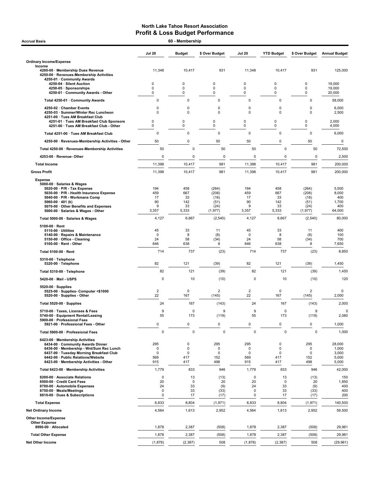| 60 - Membership<br><b>Accrual Basis</b>                                                                                                                                                                                                     |                                                 |                                                         |                                        |                                              |                                     |                                        |                                            |  |
|---------------------------------------------------------------------------------------------------------------------------------------------------------------------------------------------------------------------------------------------|-------------------------------------------------|---------------------------------------------------------|----------------------------------------|----------------------------------------------|-------------------------------------|----------------------------------------|--------------------------------------------|--|
|                                                                                                                                                                                                                                             | <b>Jul 20</b>                                   | <b>Budget</b>                                           | \$ Over Budget                         | <b>Jul 20</b>                                | <b>YTD Budget</b>                   | \$ Over Budget                         | <b>Annual Budget</b>                       |  |
| <b>Ordinary Income/Expense</b>                                                                                                                                                                                                              |                                                 |                                                         |                                        |                                              |                                     |                                        |                                            |  |
| Income<br>4200-00 · Membership Dues Revenue<br>4250-00 · Revenues-Membership Activities<br>4250-01 · Community Awards                                                                                                                       | 11,348                                          | 10,417                                                  | 931                                    | 11,348                                       | 10,417                              | 931                                    | 125,000                                    |  |
| 4250-04 · Silent Auction<br>4250-05 · Sponsorships                                                                                                                                                                                          | 0<br>$\mathbf 0$                                | 0<br>$\mathbf 0$                                        | 0<br>$\mathbf 0$                       | 0<br>0                                       | 0<br>0                              | $\mathbf 0$<br>0                       | 19,000<br>19,000                           |  |
| 4250-01 · Community Awards - Other                                                                                                                                                                                                          | 0                                               | $\mathbf 0$                                             | 0                                      | 0                                            | 0                                   | 0                                      | 20,000                                     |  |
| Total 4250-01 · Community Awards                                                                                                                                                                                                            | $\pmb{0}$                                       | $\mathbf 0$                                             | 0                                      | $\pmb{0}$                                    | 0                                   | 0                                      | 58,000                                     |  |
| 4250-02 · Chamber Events<br>4250-03 · Summer/Winter Rec Luncheon<br>4251-00 · Tues AM Breakfast Club                                                                                                                                        | 0<br>$\mathbf 0$                                | $\mathbf 0$<br>$\mathbf 0$                              | 0<br>$\mathbf 0$                       | $\mathbf 0$<br>$\mathbf 0$                   | 0<br>$\mathbf 0$                    | 0<br>0                                 | 6,000<br>2,500                             |  |
| 4251-01 · Tues AM Breakfast Club Sponsors<br>4251-00 · Tues AM Breakfast Club - Other                                                                                                                                                       | 0<br>0                                          | 0<br>$\pmb{0}$                                          | 0<br>0                                 | 0<br>0                                       | 0<br>0                              | 0<br>0                                 | 2,000<br>4,000                             |  |
| Total 4251-00 · Tues AM Breakfast Club                                                                                                                                                                                                      | $\pmb{0}$                                       | $\mathbf 0$                                             | $\mathbf 0$                            | 0                                            | $\mathbf 0$                         | 0                                      | 6,000                                      |  |
| 4250-00 · Revenues-Membership Activities - Other                                                                                                                                                                                            | 50                                              | $\mathbf 0$                                             | 50                                     | 50                                           | 0                                   | 50                                     | 0                                          |  |
| Total 4250-00 · Revenues-Membership Activities                                                                                                                                                                                              | 50                                              | $\Omega$                                                | 50                                     | 50                                           | $\mathbf 0$                         | 50                                     | 72,500                                     |  |
| 4253-00 · Revenue- Other                                                                                                                                                                                                                    | 0                                               | 0                                                       | 0                                      | 0                                            | 0                                   | $\mathbf 0$                            | 2,500                                      |  |
| <b>Total Income</b>                                                                                                                                                                                                                         | 11,398                                          | 10,417                                                  | 981                                    | 11,398                                       | 10,417                              | 981                                    | 200,000                                    |  |
| <b>Gross Profit</b>                                                                                                                                                                                                                         | 11,398                                          | 10,417                                                  | 981                                    | 11,398                                       | 10,417                              | 981                                    | 200,000                                    |  |
| <b>Expense</b><br>5000-00 · Salaries & Wages<br>5020-00 · P/R - Tax Expense<br>5030-00 · P/R - Health Insurance Expense<br>5040-00 · P/R - Workmans Comp<br>5060-00 $\cdot$ 401 (k)<br>5070-00 · Other Benefits and Expenses                | 194<br>459<br>17<br>90<br>9                     | 458<br>667<br>33<br>142<br>33                           | (264)<br>(208)<br>(16)<br>(51)<br>(24) | 194<br>459<br>17<br>90<br>9                  | 458<br>667<br>33<br>142<br>33       | (264)<br>(208)<br>(16)<br>(51)<br>(24) | 5,500<br>8,000<br>400<br>1,700<br>400      |  |
| 5000-00 · Salaries & Wages - Other                                                                                                                                                                                                          | 3,357                                           | 5,333                                                   | (1, 977)                               | 3,357                                        | 5,333                               | (1, 977)                               | 64,000                                     |  |
| Total 5000-00 · Salaries & Wages                                                                                                                                                                                                            | 4,127                                           | 6,667                                                   | (2,540)                                | 4,127                                        | 6,667                               | (2, 540)                               | 80,000                                     |  |
| $5100-00 \cdot$ Rent<br>$5110-00 \cdot$ Utilities<br>5140-00 · Repairs & Maintenance<br>5150-00 Office - Cleaning<br>$5100-00 \cdot$ Rent - Other                                                                                           | 45<br>$\mathbf 0$<br>24<br>646                  | 33<br>8<br>58<br>638                                    | 11<br>(8)<br>(34)<br>8                 | 45<br>$\mathbf 0$<br>24<br>646               | 33<br>8<br>58<br>638                | 11<br>(8)<br>(34)<br>8                 | 400<br>100<br>700<br>7,650                 |  |
| Total 5100-00 · Rent                                                                                                                                                                                                                        | 714                                             | 737                                                     | (23)                                   | 714                                          | 737                                 | (23)                                   | 8,850                                      |  |
| 5310-00 · Telephone<br>5320-00 · Telephone                                                                                                                                                                                                  | 82                                              | 121                                                     | (39)                                   | 82                                           | 121                                 | (39)                                   | 1,450                                      |  |
| Total 5310-00 · Telephone                                                                                                                                                                                                                   | 82                                              | 121                                                     | (39)                                   | 82                                           | 121                                 | (39)                                   | 1,450                                      |  |
| 5420-00 · Mail - USPS                                                                                                                                                                                                                       | 0                                               | 10                                                      | (10)                                   | 0                                            | 10                                  | (10)                                   | 120                                        |  |
| $5520-00 \cdot$ Supplies<br>5525-00 · Supplies- Computer <\$1000<br>5520-00 · Supplies - Other                                                                                                                                              | $\overline{c}$<br>22                            | 0<br>167                                                | $\overline{\mathbf{c}}$<br>(145)       | $\overline{2}$<br>22                         | 0<br>167                            | $\overline{2}$<br>(145)                | $\mathbf 0$<br>2,000                       |  |
| Total 5520-00 · Supplies                                                                                                                                                                                                                    | 24                                              | 167                                                     | (143)                                  | 24                                           | 167                                 | (143)                                  | 2,000                                      |  |
| 5710-00 · Taxes, Licenses & Fees<br>5740-00 · Equipment Rental/Leasing                                                                                                                                                                      | $\boldsymbol{9}$<br>55                          | $\mathbf 0$<br>173                                      | 9<br>(119)                             | 9<br>55                                      | $\pmb{0}$<br>173                    | 9<br>(119)                             | $\mathbf 0$<br>2,080                       |  |
| 5900-00 · Professional Fees<br>5921-00 · Professional Fees - Other                                                                                                                                                                          | $\pmb{0}$                                       | $\mathsf 0$                                             | $\pmb{0}$                              | $\pmb{0}$                                    | 0                                   | 0                                      | 1,000                                      |  |
| Total 5900-00 · Professional Fees                                                                                                                                                                                                           | $\pmb{0}$                                       | $\pmb{0}$                                               | $\mathbf 0$                            | $\mathbf 0$                                  | $\mathbf 0$                         | $\mathbf 0$                            | 1,000                                      |  |
| 6423-00 · Membership Activities<br>6434-00 Community Awards Dinner<br>6436-00 · Membership - Wnt/Sum Rec Lunch<br>6437-00 · Tuesday Morning Breakfast Club<br>6442-00 · Public Relations/Website<br>6423-00 · Membership Activities - Other | 295<br>0<br>0<br>569<br>915                     | $\mathbf 0$<br>$\mathbf 0$<br>$\mathbf 0$<br>417<br>417 | 295<br>0<br>0<br>152<br>498            | 295<br>$\Omega$<br>$\mathbf 0$<br>569<br>915 | 0<br>0<br>0<br>417<br>417           | 295<br>0<br>0<br>152<br>498            | 28,000<br>1,000<br>3,000<br>5,000<br>5,000 |  |
| Total 6423-00 · Membership Activities                                                                                                                                                                                                       | 1,779                                           | 833                                                     | 946                                    | 1,779                                        | 833                                 | 946                                    | 42,000                                     |  |
| 8200-00 · Associate Relations<br>8500-00 · Credit Card Fees<br>8700-00 · Automobile Expenses<br>8750-00 · Meals/Meetings<br>8810-00 · Dues & Subscriptions                                                                                  | $\pmb{0}$<br>20<br>24<br>$\pmb{0}$<br>$\pmb{0}$ | 13<br>$\mathbf 0$<br>33<br>33<br>17                     | (13)<br>20<br>(9)<br>(33)<br>(17)      | 0<br>20<br>24<br>$\pmb{0}$<br>0              | 13<br>$\mathbf 0$<br>33<br>33<br>17 | (13)<br>20<br>(9)<br>(33)<br>(17)      | 150<br>1,850<br>400<br>400<br>200          |  |
| <b>Total Expense</b>                                                                                                                                                                                                                        | 6,833                                           | 8,804                                                   | (1, 971)                               | 6,833                                        | 8,804                               | (1, 971)                               | 140,500                                    |  |
| <b>Net Ordinary Income</b>                                                                                                                                                                                                                  | 4,564                                           | 1,613                                                   | 2,952                                  | 4,564                                        | 1,613                               | 2,952                                  | 59,500                                     |  |
| Other Income/Expense<br><b>Other Expense</b><br>8990-00 · Allocated                                                                                                                                                                         | 1,878                                           | 2,387                                                   | (508)                                  | 1,878                                        | 2,387                               | (508)                                  | 29,961                                     |  |
| <b>Total Other Expense</b>                                                                                                                                                                                                                  | 1,878                                           | 2,387                                                   | (508)                                  | 1,878                                        | 2,387                               | (508)                                  | 29,961                                     |  |
| <b>Net Other Income</b>                                                                                                                                                                                                                     | (1,878)                                         | (2, 387)                                                | 508                                    | (1,878)                                      | (2, 387)                            | 508                                    | (29, 961)                                  |  |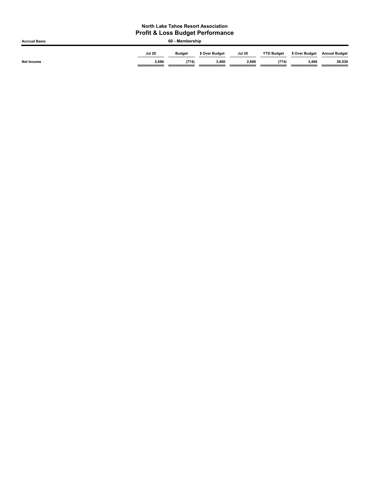| <b>Accrual Basis</b> | 60 - Membership |               |                |               |                   |                |                      |  |  |
|----------------------|-----------------|---------------|----------------|---------------|-------------------|----------------|----------------------|--|--|
|                      | <b>Jul 20</b>   | <b>Budget</b> | \$ Over Budget | <b>Jul 20</b> | <b>YTD Budget</b> | \$ Over Budget | <b>Annual Budget</b> |  |  |
| Net Income           | 2,686           | (774)         | 3,460          | 2,686         | (774)             | 3,460          | 29,539               |  |  |